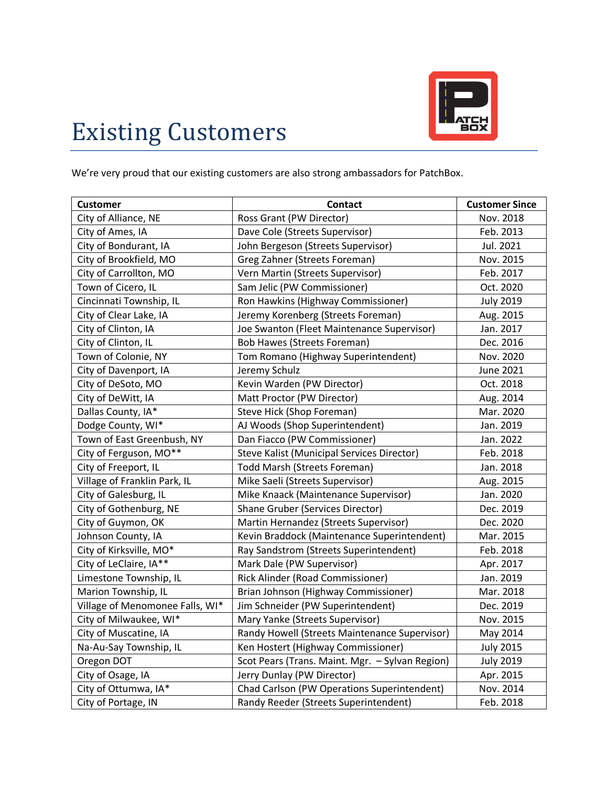

## Existing Customers

We're very proud that our existing customers are also strong ambassadors for PatchBox.

| <b>Customer</b>                 | <b>Contact</b>                                  | <b>Customer Since</b> |
|---------------------------------|-------------------------------------------------|-----------------------|
| City of Alliance, NE            | Ross Grant (PW Director)                        | Nov. 2018             |
| City of Ames, IA                | Dave Cole (Streets Supervisor)                  | Feb. 2013             |
| City of Bondurant, IA           | John Bergeson (Streets Supervisor)              | Jul. 2021             |
| City of Brookfield, MO          | Greg Zahner (Streets Foreman)                   | Nov. 2015             |
| City of Carrollton, MO          | Vern Martin (Streets Supervisor)                | Feb. 2017             |
| Town of Cicero, IL              | Sam Jelic (PW Commissioner)                     | Oct. 2020             |
| Cincinnati Township, IL         | Ron Hawkins (Highway Commissioner)              | <b>July 2019</b>      |
| City of Clear Lake, IA          | Jeremy Korenberg (Streets Foreman)              | Aug. 2015             |
| City of Clinton, IA             | Joe Swanton (Fleet Maintenance Supervisor)      | Jan. 2017             |
| City of Clinton, IL             | <b>Bob Hawes (Streets Foreman)</b>              | Dec. 2016             |
| Town of Colonie, NY             | Tom Romano (Highway Superintendent)             | Nov. 2020             |
| City of Davenport, IA           | Jeremy Schulz                                   | <b>June 2021</b>      |
| City of DeSoto, MO              | Kevin Warden (PW Director)                      | Oct. 2018             |
| City of DeWitt, IA              | Matt Proctor (PW Director)                      | Aug. 2014             |
| Dallas County, IA*              | Steve Hick (Shop Foreman)                       | Mar. 2020             |
| Dodge County, WI*               | AJ Woods (Shop Superintendent)                  | Jan. 2019             |
| Town of East Greenbush, NY      | Dan Fiacco (PW Commissioner)                    | Jan. 2022             |
| City of Ferguson, MO**          | Steve Kalist (Municipal Services Director)      | Feb. 2018             |
| City of Freeport, IL            | <b>Todd Marsh (Streets Foreman)</b>             | Jan. 2018             |
| Village of Franklin Park, IL    | Mike Saeli (Streets Supervisor)                 | Aug. 2015             |
| City of Galesburg, IL           | Mike Knaack (Maintenance Supervisor)            | Jan. 2020             |
| City of Gothenburg, NE          | Shane Gruber (Services Director)                | Dec. 2019             |
| City of Guymon, OK              | Martin Hernandez (Streets Supervisor)           | Dec. 2020             |
| Johnson County, IA              | Kevin Braddock (Maintenance Superintendent)     | Mar. 2015             |
| City of Kirksville, MO*         | Ray Sandstrom (Streets Superintendent)          | Feb. 2018             |
| City of LeClaire, IA**          | Mark Dale (PW Supervisor)                       | Apr. 2017             |
| Limestone Township, IL          | Rick Alinder (Road Commissioner)                | Jan. 2019             |
| Marion Township, IL             | Brian Johnson (Highway Commissioner)            | Mar. 2018             |
| Village of Menomonee Falls, WI* | Jim Schneider (PW Superintendent)               | Dec. 2019             |
| City of Milwaukee, WI*          | Mary Yanke (Streets Supervisor)                 | Nov. 2015             |
| City of Muscatine, IA           | Randy Howell (Streets Maintenance Supervisor)   | May 2014              |
| Na-Au-Say Township, IL          | Ken Hostert (Highway Commissioner)              | <b>July 2015</b>      |
| Oregon DOT                      | Scot Pears (Trans. Maint. Mgr. - Sylvan Region) | <b>July 2019</b>      |
| City of Osage, IA               | Jerry Dunlay (PW Director)                      | Apr. 2015             |
| City of Ottumwa, IA*            | Chad Carlson (PW Operations Superintendent)     | Nov. 2014             |
| City of Portage, IN             | Randy Reeder (Streets Superintendent)           | Feb. 2018             |